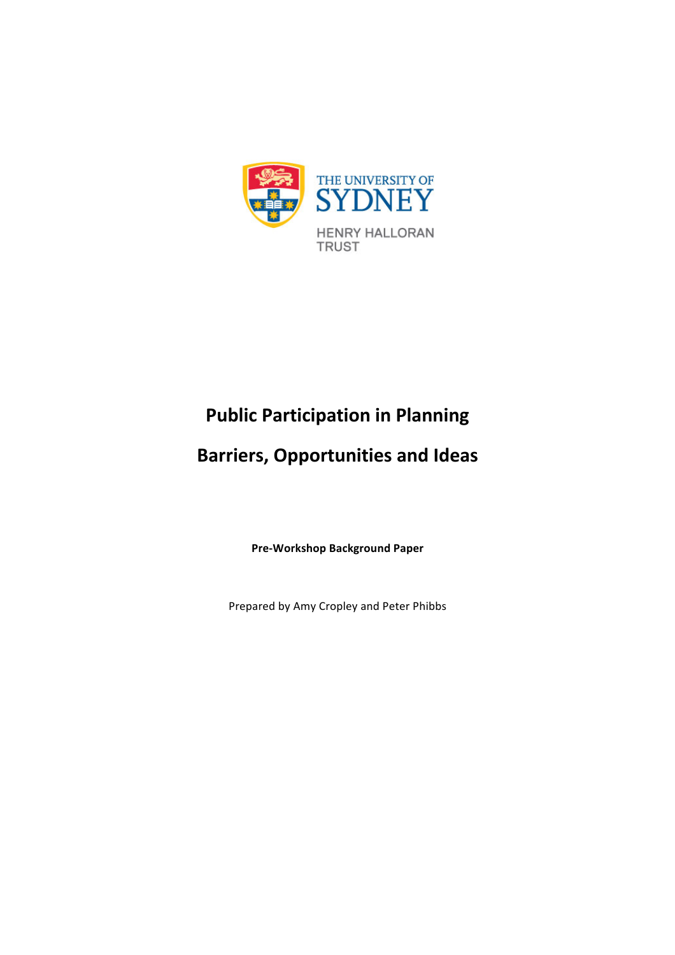

# **Public Participation in Planning**

# **Barriers, Opportunities and Ideas**

**Pre-Workshop Background Paper**

Prepared by Amy Cropley and Peter Phibbs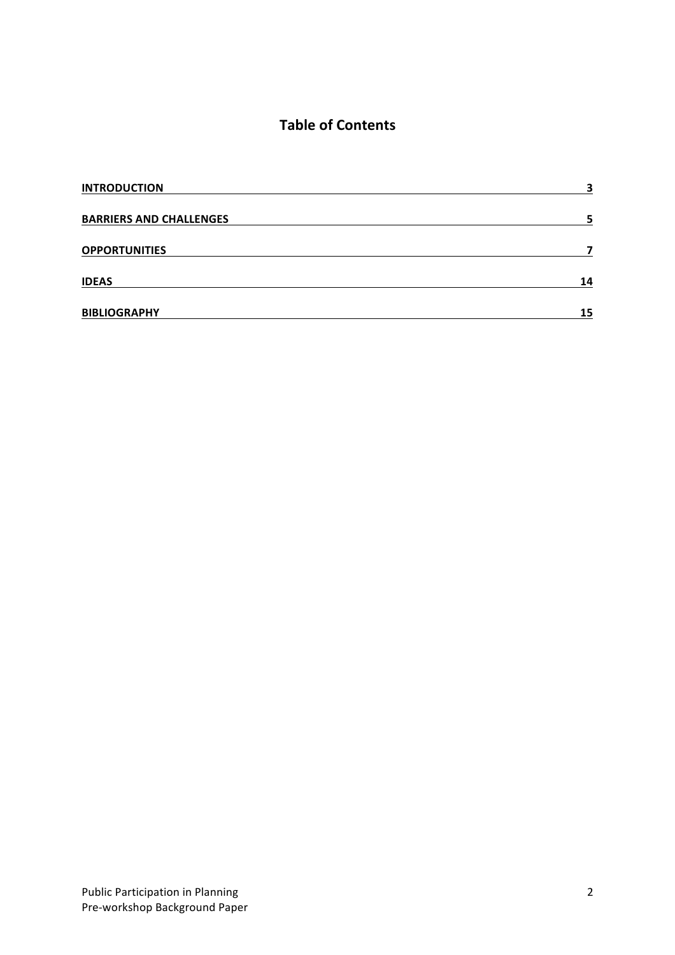## **Table of Contents**

| <b>INTRODUCTION</b>            | 3  |
|--------------------------------|----|
| <b>BARRIERS AND CHALLENGES</b> | 5  |
| <b>OPPORTUNITIES</b>           |    |
| <b>IDEAS</b>                   | 14 |
| <b>BIBLIOGRAPHY</b>            | 15 |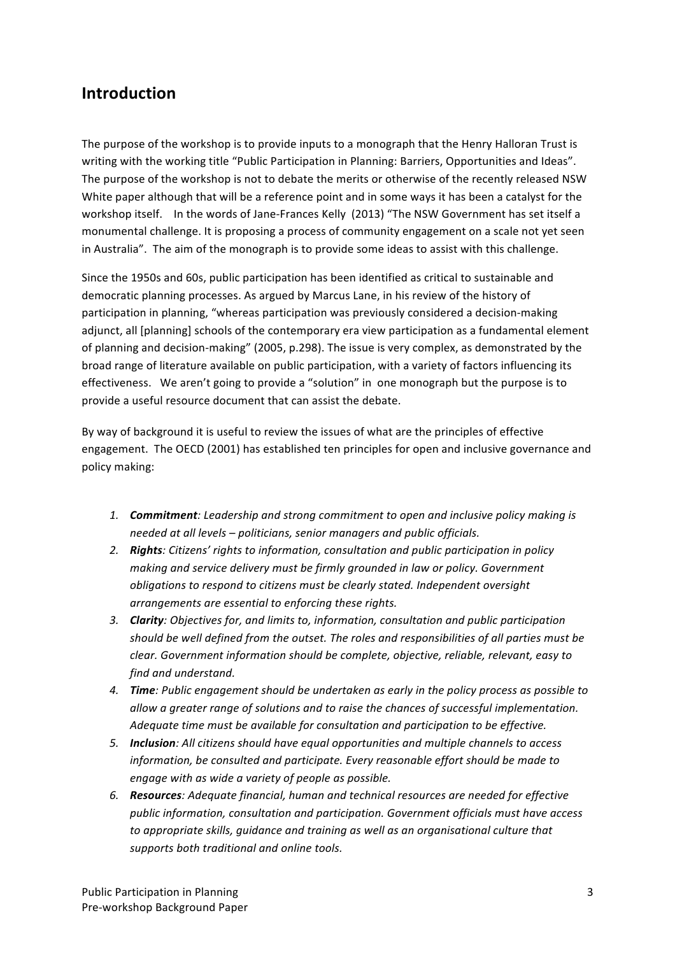## **Introduction**

The purpose of the workshop is to provide inputs to a monograph that the Henry Halloran Trust is writing with the working title "Public Participation in Planning: Barriers, Opportunities and Ideas". The purpose of the workshop is not to debate the merits or otherwise of the recently released NSW White paper although that will be a reference point and in some ways it has been a catalyst for the workshop itself. In the words of Jane-Frances Kelly (2013) "The NSW Government has set itself a monumental challenge. It is proposing a process of community engagement on a scale not yet seen in Australia". The aim of the monograph is to provide some ideas to assist with this challenge.

Since the 1950s and 60s, public participation has been identified as critical to sustainable and democratic planning processes. As argued by Marcus Lane, in his review of the history of participation in planning, "whereas participation was previously considered a decision-making adjunct, all [planning] schools of the contemporary era view participation as a fundamental element of planning and decision-making" (2005, p.298). The issue is very complex, as demonstrated by the broad range of literature available on public participation, with a variety of factors influencing its effectiveness. We aren't going to provide a "solution" in one monograph but the purpose is to provide a useful resource document that can assist the debate.

By way of background it is useful to review the issues of what are the principles of effective engagement. The OECD (2001) has established ten principles for open and inclusive governance and policy making:

- 1. *Commitment: Leadership and strong commitment to open and inclusive policy making is needed at all levels – politicians, senior managers and public officials.*
- 2. **Rights**: Citizens' rights to information, consultation and public participation in policy *making and service delivery must be firmly grounded in law or policy. Government obligations to respond to citizens must be clearly stated. Independent oversight arrangements are essential to enforcing these rights.*
- 3. *Clarity: Objectives for, and limits to, information, consultation and public participation* should be well defined from the outset. The roles and responsibilities of all parties must be *clear.* Government information should be complete, objective, reliable, relevant, easy to *find and understand.*
- 4. *Time:* Public engagement should be undertaken as early in the policy process as possible to allow a greater range of solutions and to raise the chances of successful implementation. Adequate time must be available for consultation and participation to be effective.
- 5. **Inclusion**: All citizens should have equal opportunities and multiple channels to access *information, be consulted and participate. Every reasonable effort should be made to engage with as wide a variety of people as possible.*
- 6. **Resources**: Adequate financial, human and technical resources are needed for effective public information, consultation and participation. Government officials must have access to appropriate skills, quidance and training as well as an organisational culture that supports both traditional and online tools.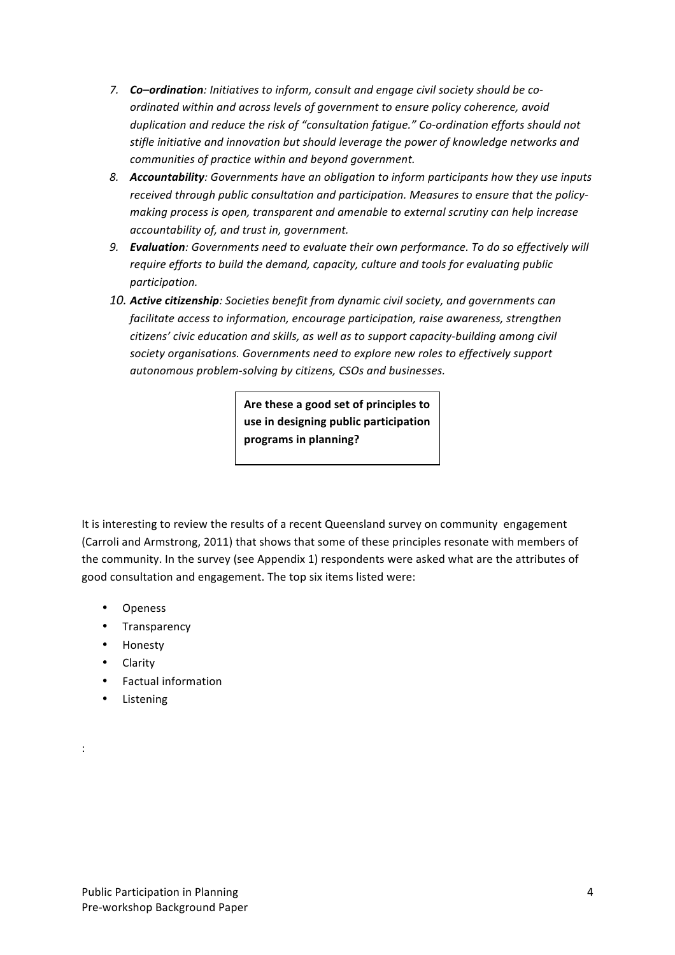- 7. **Co–ordination**: Initiatives to inform, consult and engage civil society should be co*ordinated within and across levels of government to ensure policy coherence, avoid* duplication and reduce the risk of "consultation fatigue." Co-ordination efforts should not stifle initiative and innovation but should leverage the power of knowledge networks and *communities of practice within and beyond government.*
- 8. **Accountability**: Governments have an obligation to inform participants how they use inputs received through public consultation and participation. Measures to ensure that the policymaking process is open, transparent and amenable to external scrutiny can help increase *accountability of, and trust in, government.*
- 9. **Evaluation**: Governments need to evaluate their own performance. To do so effectively will require efforts to build the demand, capacity, culture and tools for evaluating public *participation.*
- 10. Active citizenship: Societies benefit from dynamic civil society, and governments can facilitate access to information, encourage participation, raise awareness, strengthen citizens' civic education and skills, as well as to support capacity-building among civil society organisations. Governments need to explore new roles to effectively support autonomous problem-solving by citizens, CSOs and businesses.

Are these a good set of principles to use in designing public participation programs in planning?

It is interesting to review the results of a recent Queensland survey on community engagement (Carroli and Armstrong, 2011) that shows that some of these principles resonate with members of the community. In the survey (see Appendix 1) respondents were asked what are the attributes of good consultation and engagement. The top six items listed were:

- **Openess**
- **Transparency**
- Honesty
- Clarity
- Factual information
- **Listening**

: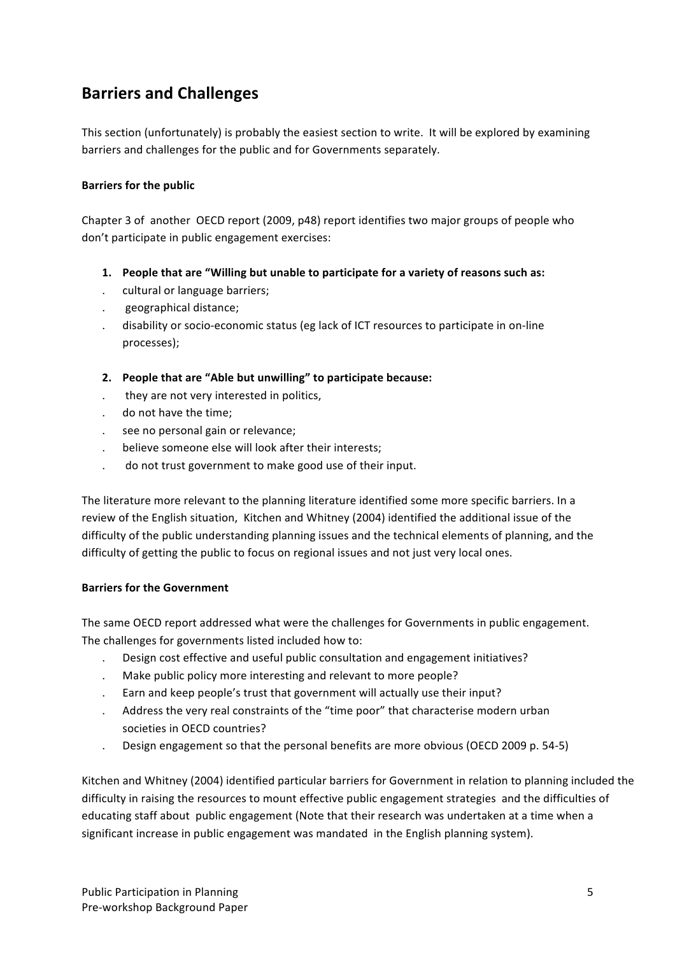## **Barriers and Challenges**

This section (unfortunately) is probably the easiest section to write. It will be explored by examining barriers and challenges for the public and for Governments separately.

### **Barriers for the public**

Chapter 3 of another OECD report (2009, p48) report identifies two major groups of people who don't participate in public engagement exercises:

- **1.** People that are "Willing but unable to participate for a variety of reasons such as:
- . cultural or language barriers;
- . geographical distance;
- . disability or socio-economic status (eg lack of ICT resources to participate in on-line processes);
- 2. People that are "Able but unwilling" to participate because:
- they are not very interested in politics,
- do not have the time;
- see no personal gain or relevance;
- believe someone else will look after their interests;
- do not trust government to make good use of their input.

The literature more relevant to the planning literature identified some more specific barriers. In a review of the English situation, Kitchen and Whitney (2004) identified the additional issue of the difficulty of the public understanding planning issues and the technical elements of planning, and the difficulty of getting the public to focus on regional issues and not just very local ones.

### **Barriers for the Government**

The same OECD report addressed what were the challenges for Governments in public engagement. The challenges for governments listed included how to:

- . Design cost effective and useful public consultation and engagement initiatives?
- . Make public policy more interesting and relevant to more people?
- Earn and keep people's trust that government will actually use their input?
- Address the very real constraints of the "time poor" that characterise modern urban societies in OECD countries?
- Design engagement so that the personal benefits are more obvious (OECD 2009 p. 54-5)

Kitchen and Whitney (2004) identified particular barriers for Government in relation to planning included the difficulty in raising the resources to mount effective public engagement strategies and the difficulties of educating staff about public engagement (Note that their research was undertaken at a time when a significant increase in public engagement was mandated in the English planning system).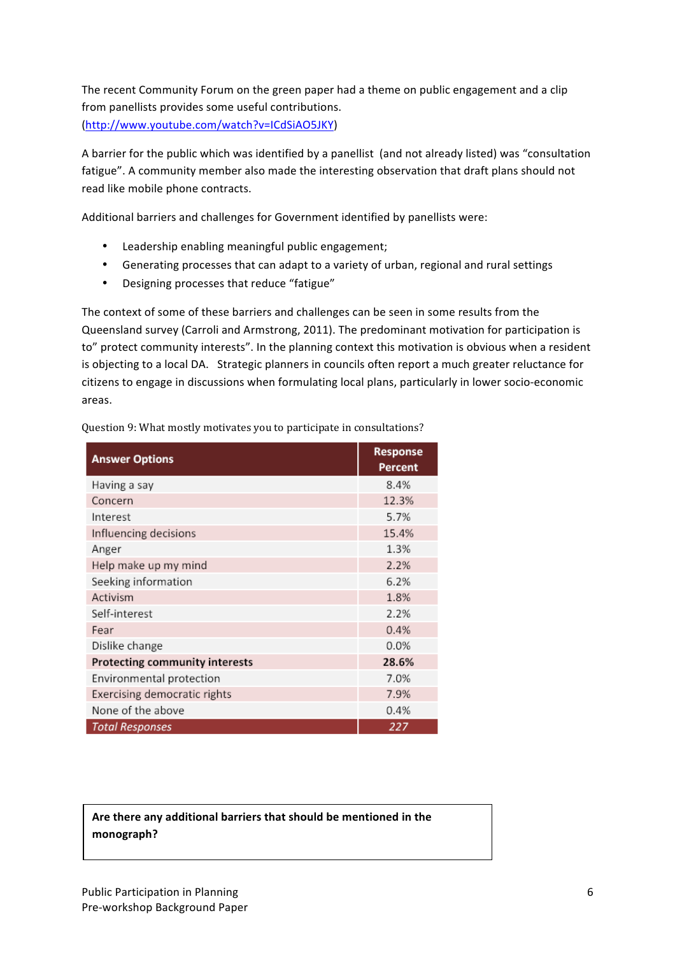The recent Community Forum on the green paper had a theme on public engagement and a clip from panellists provides some useful contributions. (http://www.youtube.com/watch?v=ICdSiAO5JKY)

A barrier for the public which was identified by a panellist (and not already listed) was "consultation fatigue". A community member also made the interesting observation that draft plans should not read like mobile phone contracts.

Additional barriers and challenges for Government identified by panellists were:

- Leadership enabling meaningful public engagement;
- Generating processes that can adapt to a variety of urban, regional and rural settings
- Designing processes that reduce "fatigue"

The context of some of these barriers and challenges can be seen in some results from the Queensland survey (Carroli and Armstrong, 2011). The predominant motivation for participation is to" protect community interests". In the planning context this motivation is obvious when a resident is objecting to a local DA. Strategic planners in councils often report a much greater reluctance for citizens to engage in discussions when formulating local plans, particularly in lower socio-economic areas.

| <b>Answer Options</b>          | <b>Response</b><br><b>Percent</b> |
|--------------------------------|-----------------------------------|
| Having a say                   | 8.4%                              |
| Concern                        | 12.3%                             |
| Interest                       | 5.7%                              |
| Influencing decisions          | 15.4%                             |
| Anger                          | 1.3%                              |
| Help make up my mind           | 2.2%                              |
| Seeking information            | 6.2%                              |
| Activism                       | 1.8%                              |
| Self-interest                  | 2.2%                              |
| Fear                           | 0.4%                              |
| Dislike change                 | $0.0\%$                           |
| Protecting community interests | 28.6%                             |
| Environmental protection       | 7.0%                              |
| Exercising democratic rights   | 7.9%                              |
| None of the above              | 0.4%                              |
| <b>Total Responses</b>         | 227                               |

Question 9: What mostly motivates you to participate in consultations?

## Are there any additional barriers that should be mentioned in the **monograph?**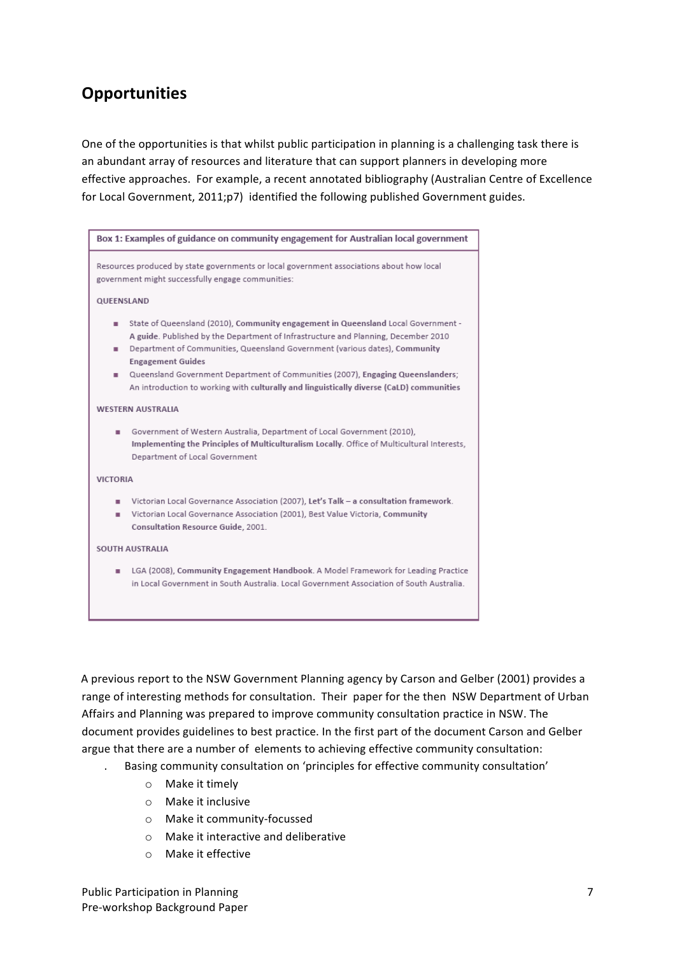## **Opportunities**

One of the opportunities is that whilst public participation in planning is a challenging task there is an abundant array of resources and literature that can support planners in developing more effective approaches. For example, a recent annotated bibliography (Australian Centre of Excellence for Local Government, 2011;p7) identified the following published Government guides.



A previous report to the NSW Government Planning agency by Carson and Gelber (2001) provides a range of interesting methods for consultation. Their paper for the then NSW Department of Urban Affairs and Planning was prepared to improve community consultation practice in NSW. The document provides guidelines to best practice. In the first part of the document Carson and Gelber argue that there are a number of elements to achieving effective community consultation:

- Basing community consultation on 'principles for effective community consultation'
	- $\circ$  Make it timely
	- $\circ$  Make it inclusive
	- o Make it community-focussed
	- $\circ$  Make it interactive and deliberative
	- $\circ$  Make it effective

Public Participation in Planning Pre-workshop Background Paper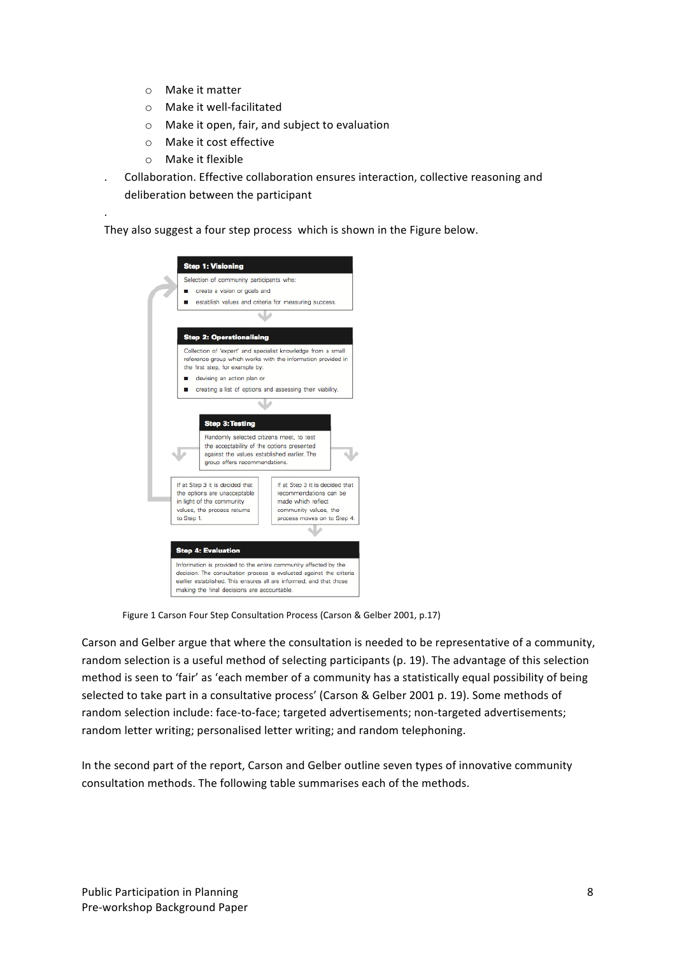- $\circ$  Make it matter
- $\circ$  Make it well-facilitated
- $\circ$  Make it open, fair, and subject to evaluation
- o Make it cost effective
- $\circ$  Make it flexible

.

Collaboration. Effective collaboration ensures interaction, collective reasoning and deliberation between the participant

They also suggest a four step process which is shown in the Figure below.



Figure 1 Carson Four Step Consultation Process (Carson & Gelber 2001, p.17)

Carson and Gelber argue that where the consultation is needed to be representative of a community, random selection is a useful method of selecting participants (p. 19). The advantage of this selection method is seen to 'fair' as 'each member of a community has a statistically equal possibility of being selected to take part in a consultative process' (Carson & Gelber 2001 p. 19). Some methods of random selection include: face-to-face; targeted advertisements; non-targeted advertisements; random letter writing; personalised letter writing; and random telephoning.

In the second part of the report, Carson and Gelber outline seven types of innovative community consultation methods. The following table summarises each of the methods.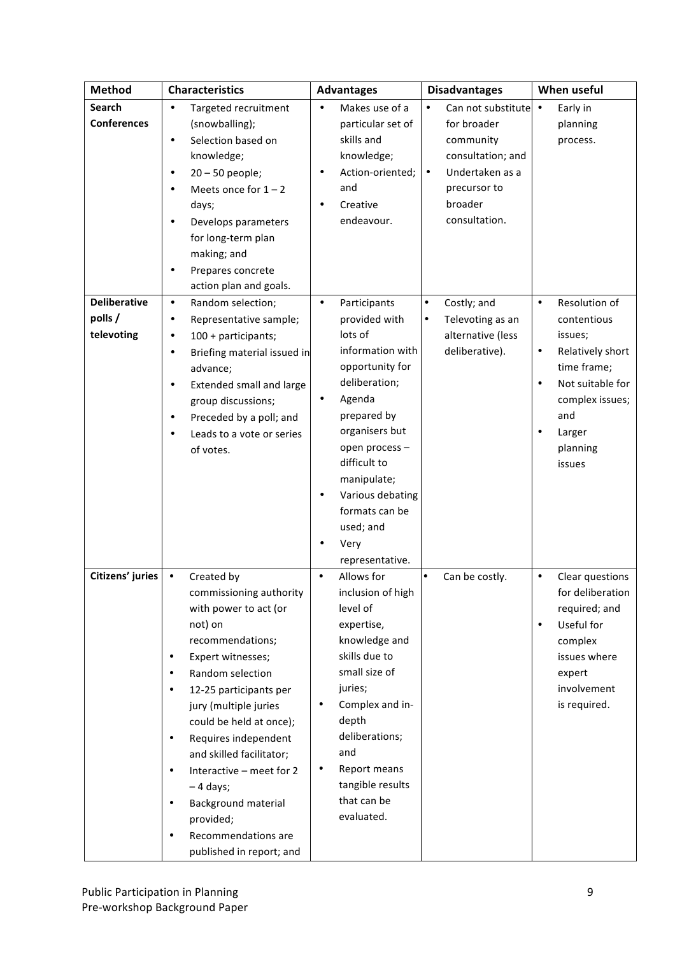| <b>Method</b>       |           | <b>Characteristics</b>      | <b>Advantages</b> |                   | <b>Disadvantages</b> |                    | When useful |                  |
|---------------------|-----------|-----------------------------|-------------------|-------------------|----------------------|--------------------|-------------|------------------|
| <b>Search</b>       | $\bullet$ | Targeted recruitment        |                   | Makes use of a    |                      | Can not substitute | $\bullet$   | Early in         |
| <b>Conferences</b>  |           | (snowballing);              |                   | particular set of |                      | for broader        |             | planning         |
|                     | $\bullet$ | Selection based on          |                   | skills and        |                      | community          |             | process.         |
|                     |           | knowledge;                  |                   | knowledge;        |                      | consultation; and  |             |                  |
|                     | $\bullet$ | $20 - 50$ people;           | $\bullet$         | Action-oriented;  | $\bullet$            | Undertaken as a    |             |                  |
|                     |           | Meets once for $1 - 2$      |                   | and               |                      | precursor to       |             |                  |
|                     |           | days;                       | ٠                 | Creative          |                      | broader            |             |                  |
|                     | $\bullet$ | Develops parameters         |                   | endeavour.        |                      | consultation.      |             |                  |
|                     |           | for long-term plan          |                   |                   |                      |                    |             |                  |
|                     |           | making; and                 |                   |                   |                      |                    |             |                  |
|                     |           | Prepares concrete           |                   |                   |                      |                    |             |                  |
|                     |           | action plan and goals.      |                   |                   |                      |                    |             |                  |
| <b>Deliberative</b> | $\bullet$ | Random selection;           | $\bullet$         | Participants      | $\bullet$            | Costly; and        | $\bullet$   | Resolution of    |
| polls /             | $\bullet$ | Representative sample;      |                   | provided with     | $\bullet$            | Televoting as an   |             | contentious      |
| televoting          | $\bullet$ | 100 + participants;         |                   | lots of           |                      | alternative (less  |             | issues;          |
|                     | $\bullet$ | Briefing material issued in |                   | information with  |                      | deliberative).     | $\bullet$   | Relatively short |
|                     |           | advance;                    |                   | opportunity for   |                      |                    |             | time frame;      |
|                     | $\bullet$ | Extended small and large    |                   | deliberation;     |                      |                    | $\bullet$   | Not suitable for |
|                     |           | group discussions;          | ٠                 | Agenda            |                      |                    |             | complex issues;  |
|                     | $\bullet$ | Preceded by a poll; and     |                   | prepared by       |                      |                    |             | and              |
|                     |           | Leads to a vote or series   |                   | organisers but    |                      |                    |             | Larger           |
|                     |           | of votes.                   |                   | open process -    |                      |                    |             | planning         |
|                     |           |                             |                   | difficult to      |                      |                    |             | issues           |
|                     |           |                             |                   | manipulate;       |                      |                    |             |                  |
|                     |           |                             | ٠                 | Various debating  |                      |                    |             |                  |
|                     |           |                             |                   | formats can be    |                      |                    |             |                  |
|                     |           |                             |                   | used; and         |                      |                    |             |                  |
|                     |           |                             |                   | Very              |                      |                    |             |                  |
|                     |           |                             |                   | representative.   |                      |                    |             |                  |
| Citizens' juries    | $\bullet$ | Created by                  | $\bullet$         | Allows for        | ٠                    | Can be costly.     | $\bullet$   | Clear questions  |
|                     |           | commissioning authority     |                   | inclusion of high |                      |                    |             | for deliberation |
|                     |           | with power to act (or       |                   | level of          |                      |                    |             | required; and    |
|                     |           | not) on                     |                   | expertise,        |                      |                    |             | Useful for       |
|                     |           | recommendations;            |                   | knowledge and     |                      |                    |             | complex          |
|                     | $\bullet$ | Expert witnesses;           |                   | skills due to     |                      |                    |             | issues where     |
|                     | $\bullet$ | Random selection            |                   | small size of     |                      |                    |             | expert           |
|                     | $\bullet$ | 12-25 participants per      |                   | juries;           |                      |                    |             | involvement      |
|                     |           | jury (multiple juries       | ٠                 | Complex and in-   |                      |                    |             | is required.     |
|                     |           | could be held at once);     |                   | depth             |                      |                    |             |                  |
|                     | $\bullet$ | Requires independent        |                   | deliberations;    |                      |                    |             |                  |
|                     |           | and skilled facilitator;    |                   | and               |                      |                    |             |                  |
|                     | $\bullet$ | Interactive - meet for 2    | ٠                 | Report means      |                      |                    |             |                  |
|                     |           | $-4$ days;                  |                   | tangible results  |                      |                    |             |                  |
|                     | ٠         | Background material         |                   | that can be       |                      |                    |             |                  |
|                     |           | provided;                   |                   | evaluated.        |                      |                    |             |                  |
|                     |           | Recommendations are         |                   |                   |                      |                    |             |                  |
|                     |           | published in report; and    |                   |                   |                      |                    |             |                  |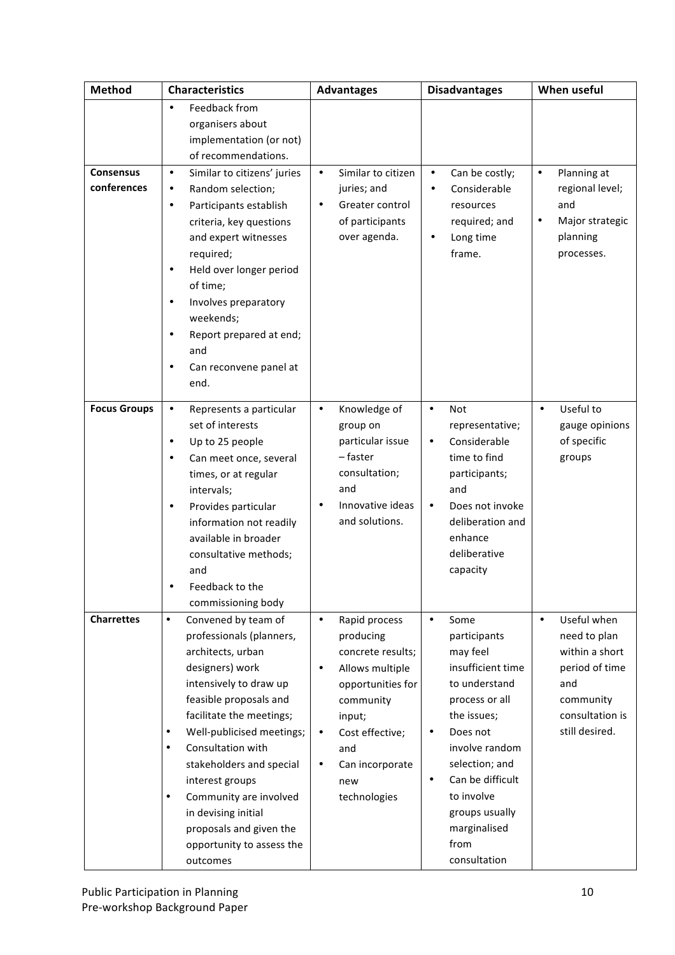| Method              |           | <b>Characteristics</b>      |           | <b>Advantages</b>  |           | <b>Disadvantages</b> |           | When useful     |  |
|---------------------|-----------|-----------------------------|-----------|--------------------|-----------|----------------------|-----------|-----------------|--|
|                     | $\bullet$ | Feedback from               |           |                    |           |                      |           |                 |  |
|                     |           | organisers about            |           |                    |           |                      |           |                 |  |
|                     |           | implementation (or not)     |           |                    |           |                      |           |                 |  |
|                     |           | of recommendations.         |           |                    |           |                      |           |                 |  |
| <b>Consensus</b>    | $\bullet$ | Similar to citizens' juries | $\bullet$ | Similar to citizen | $\bullet$ | Can be costly;       | $\bullet$ | Planning at     |  |
| conferences         | $\bullet$ | Random selection;           |           | juries; and        | ٠         | Considerable         |           | regional level; |  |
|                     | $\bullet$ | Participants establish      | $\bullet$ | Greater control    |           | resources            |           | and             |  |
|                     |           | criteria, key questions     |           | of participants    |           | required; and        | $\bullet$ | Major strategic |  |
|                     |           | and expert witnesses        |           | over agenda.       | $\bullet$ | Long time            |           | planning        |  |
|                     |           | required;                   |           |                    |           | frame.               |           | processes.      |  |
|                     | $\bullet$ | Held over longer period     |           |                    |           |                      |           |                 |  |
|                     |           | of time;                    |           |                    |           |                      |           |                 |  |
|                     | $\bullet$ | Involves preparatory        |           |                    |           |                      |           |                 |  |
|                     |           | weekends;                   |           |                    |           |                      |           |                 |  |
|                     | $\bullet$ | Report prepared at end;     |           |                    |           |                      |           |                 |  |
|                     |           | and                         |           |                    |           |                      |           |                 |  |
|                     | ٠         | Can reconvene panel at      |           |                    |           |                      |           |                 |  |
|                     |           | end.                        |           |                    |           |                      |           |                 |  |
| <b>Focus Groups</b> | $\bullet$ | Represents a particular     | $\bullet$ | Knowledge of       | $\bullet$ | <b>Not</b>           | $\bullet$ | Useful to       |  |
|                     |           | set of interests            |           | group on           |           | representative;      |           | gauge opinions  |  |
|                     | $\bullet$ | Up to 25 people             |           | particular issue   | $\bullet$ | Considerable         |           | of specific     |  |
|                     | ٠         | Can meet once, several      |           | - faster           |           | time to find         |           | groups          |  |
|                     |           | times, or at regular        |           | consultation;      |           | participants;        |           |                 |  |
|                     |           | intervals;                  |           | and                |           | and                  |           |                 |  |
|                     | $\bullet$ | Provides particular         | $\bullet$ | Innovative ideas   | $\bullet$ | Does not invoke      |           |                 |  |
|                     |           | information not readily     |           | and solutions.     |           | deliberation and     |           |                 |  |
|                     |           | available in broader        |           |                    |           | enhance              |           |                 |  |
|                     |           | consultative methods;       |           |                    |           | deliberative         |           |                 |  |
|                     |           | and                         |           |                    |           | capacity             |           |                 |  |
|                     |           | Feedback to the             |           |                    |           |                      |           |                 |  |
|                     |           | commissioning body          |           |                    |           |                      |           |                 |  |
| <b>Charrettes</b>   | $\bullet$ | Convened by team of         | $\bullet$ | Rapid process      | $\bullet$ | Some                 | $\bullet$ | Useful when     |  |
|                     |           | professionals (planners,    |           | producing          |           | participants         |           | need to plan    |  |
|                     |           | architects, urban           |           | concrete results;  |           | may feel             |           | within a short  |  |
|                     |           | designers) work             | $\bullet$ | Allows multiple    |           | insufficient time    |           | period of time  |  |
|                     |           | intensively to draw up      |           | opportunities for  |           | to understand        |           | and             |  |
|                     |           | feasible proposals and      |           | community          |           | process or all       |           | community       |  |
|                     |           | facilitate the meetings;    |           | input;             |           | the issues;          |           | consultation is |  |
|                     | $\bullet$ | Well-publicised meetings;   | $\bullet$ | Cost effective;    | ٠         | Does not             |           | still desired.  |  |
|                     | $\bullet$ | Consultation with           |           | and                |           | involve random       |           |                 |  |
|                     |           | stakeholders and special    | $\bullet$ | Can incorporate    |           | selection; and       |           |                 |  |
|                     |           | interest groups             |           | new                | $\bullet$ | Can be difficult     |           |                 |  |
|                     | $\bullet$ | Community are involved      |           | technologies       |           | to involve           |           |                 |  |
|                     |           | in devising initial         |           |                    |           | groups usually       |           |                 |  |
|                     |           | proposals and given the     |           |                    |           | marginalised         |           |                 |  |
|                     |           | opportunity to assess the   |           |                    |           | from                 |           |                 |  |
|                     |           | outcomes                    |           |                    |           | consultation         |           |                 |  |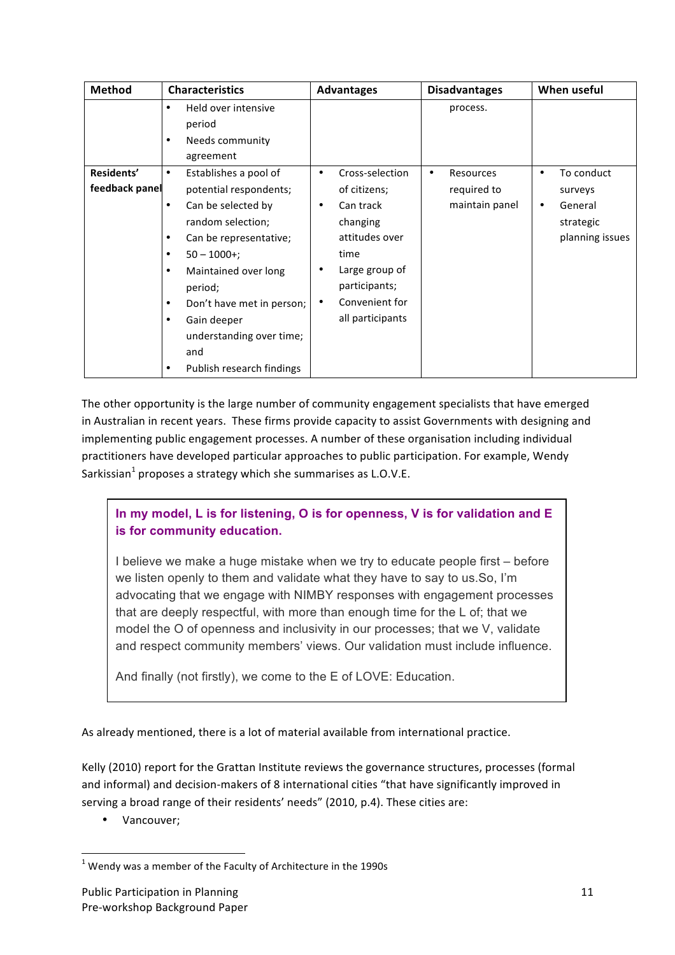| <b>Method</b>                | <b>Characteristics</b>                                                                                                                                                                                                                                                                                                                                         | <b>Advantages</b>                                                                                                                                                                       | <b>Disadvantages</b>                            | When useful                                                                |
|------------------------------|----------------------------------------------------------------------------------------------------------------------------------------------------------------------------------------------------------------------------------------------------------------------------------------------------------------------------------------------------------------|-----------------------------------------------------------------------------------------------------------------------------------------------------------------------------------------|-------------------------------------------------|----------------------------------------------------------------------------|
|                              | Held over intensive<br>$\bullet$<br>period<br>Needs community<br>٠<br>agreement                                                                                                                                                                                                                                                                                |                                                                                                                                                                                         | process.                                        |                                                                            |
| Residents'<br>feedback panel | Establishes a pool of<br>$\bullet$<br>potential respondents;<br>Can be selected by<br>$\bullet$<br>random selection;<br>Can be representative;<br>$\bullet$<br>$50 - 1000 +$ ;<br>٠<br>Maintained over long<br>$\bullet$<br>period;<br>Don't have met in person;<br>٠<br>Gain deeper<br>٠<br>understanding over time;<br>and<br>Publish research findings<br>٠ | Cross-selection<br>٠<br>of citizens;<br>Can track<br>$\bullet$<br>changing<br>attitudes over<br>time<br>Large group of<br>٠<br>participants;<br>Convenient for<br>٠<br>all participants | Resources<br>٠<br>required to<br>maintain panel | To conduct<br>٠<br>surveys<br>General<br>٠<br>strategic<br>planning issues |

The other opportunity is the large number of community engagement specialists that have emerged in Australian in recent years. These firms provide capacity to assist Governments with designing and implementing public engagement processes. A number of these organisation including individual practitioners have developed particular approaches to public participation. For example, Wendy Sarkissian<sup>1</sup> proposes a strategy which she summarises as L.O.V.E.

## **In my model, L is for listening, O is for openness, V is for validation and E is for community education.**

I believe we make a huge mistake when we try to educate people first – before we listen openly to them and validate what they have to say to us.So, I'm advocating that we engage with NIMBY responses with engagement processes that are deeply respectful, with more than enough time for the L of; that we model the O of openness and inclusivity in our processes; that we V, validate and respect community members' views. Our validation must include influence.

And finally (not firstly), we come to the E of LOVE: Education.

As already mentioned, there is a lot of material available from international practice.

Kelly (2010) report for the Grattan Institute reviews the governance structures, processes (formal and informal) and decision-makers of 8 international cities "that have significantly improved in serving a broad range of their residents' needs" (2010, p.4). These cities are:

• Vancouver;

<sup>&</sup>lt;u> 1989 - Jan Samuel Barbara, margaret e</u>  $1$  Wendy was a member of the Faculty of Architecture in the 1990s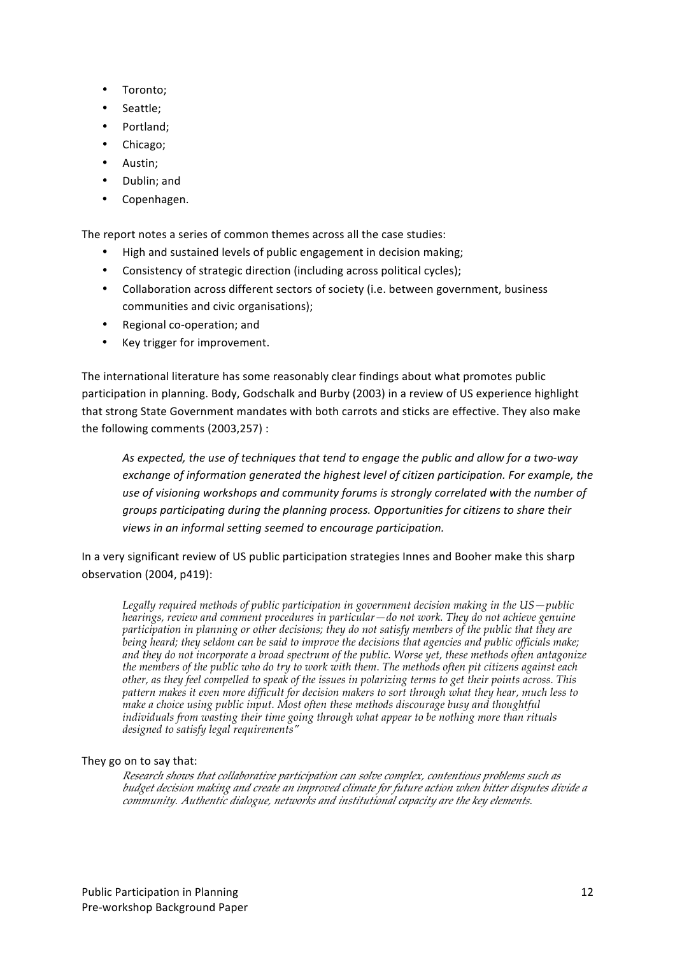- Toronto;
- Seattle:
- Portland;
- Chicago;
- Austin;
- Dublin; and
- Copenhagen.

The report notes a series of common themes across all the case studies:

- High and sustained levels of public engagement in decision making;
- Consistency of strategic direction (including across political cycles);
- Collaboration across different sectors of society (i.e. between government, business communities and civic organisations);
- Regional co-operation: and
- Key trigger for improvement.

The international literature has some reasonably clear findings about what promotes public participation in planning. Body, Godschalk and Burby (2003) in a review of US experience highlight that strong State Government mandates with both carrots and sticks are effective. They also make the following comments (2003,257) :

As expected, the use of techniques that tend to engage the public and allow for a two-way exchange of information generated the highest level of citizen participation. For example, the use of visioning workshops and community forums is strongly correlated with the number of *groups participating during the planning process. Opportunities for citizens to share their* views in an informal setting seemed to encourage participation.

In a very significant review of US public participation strategies Innes and Booher make this sharp observation (2004, p419):

*Legally required methods of public participation in government decision making in the US—public hearings, review and comment procedures in particular—do not work. They do not achieve genuine participation in planning or other decisions; they do not satisfy members of the public that they are being heard; they seldom can be said to improve the decisions that agencies and public officials make; and they do not incorporate a broad spectrum of the public. Worse yet, these methods often antagonize the members of the public who do try to work with them. The methods often pit citizens against each other, as they feel compelled to speak of the issues in polarizing terms to get their points across. This pattern makes it even more difficult for decision makers to sort through what they hear, much less to make a choice using public input. Most often these methods discourage busy and thoughtful individuals from wasting their time going through what appear to be nothing more than rituals designed to satisfy legal requirements"*

### They go on to say that:

*Research shows that collaborative participation can solve complex, contentious problems such as budget decision making and create an improved climate for future action when bitter disputes divide a community. Authentic dialogue, networks and institutional capacity are the key elements.*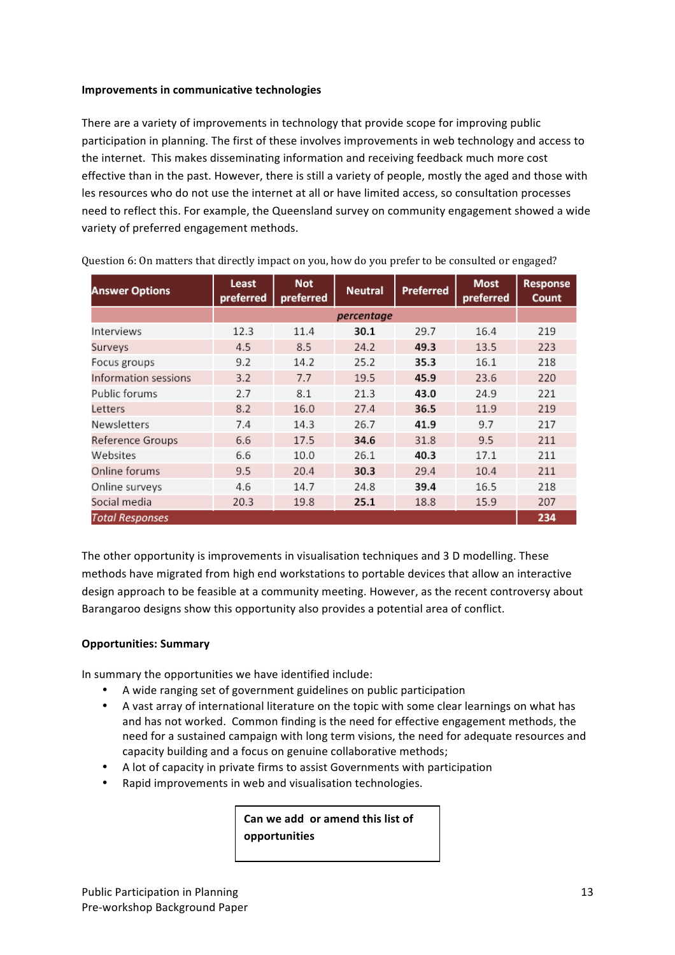#### **Improvements in communicative technologies**

There are a variety of improvements in technology that provide scope for improving public participation in planning. The first of these involves improvements in web technology and access to the internet. This makes disseminating information and receiving feedback much more cost effective than in the past. However, there is still a variety of people, mostly the aged and those with les resources who do not use the internet at all or have limited access, so consultation processes need to reflect this. For example, the Queensland survey on community engagement showed a wide variety of preferred engagement methods.

| <b>Answer Options</b>  | <b>Least</b><br>preferred | <b>Not</b><br>preferred | <b>Neutral</b> | Preferred | <b>Most</b><br>preferred | <b>Response</b><br>Count |  |  |  |
|------------------------|---------------------------|-------------------------|----------------|-----------|--------------------------|--------------------------|--|--|--|
|                        |                           | percentage              |                |           |                          |                          |  |  |  |
| Interviews             | 12.3                      | 11.4                    | 30.1           | 29.7      | 16.4                     | 219                      |  |  |  |
| Surveys                | 4.5                       | 8.5                     | 24.2           | 49.3      | 13.5                     | 223                      |  |  |  |
| Focus groups           | 9.2                       | 14.2                    | 25.2           | 35.3      | 16.1                     | 218                      |  |  |  |
| Information sessions   | 3.2                       | 7.7                     | 19.5           | 45.9      | 23.6                     | 220                      |  |  |  |
| Public forums          | 2.7                       | 8.1                     | 21.3           | 43.0      | 24.9                     | 221                      |  |  |  |
| Letters                | 8.2                       | 16.0                    | 27.4           | 36.5      | 11.9                     | 219                      |  |  |  |
| <b>Newsletters</b>     | 7.4                       | 14.3                    | 26.7           | 41.9      | 9.7                      | 217                      |  |  |  |
| Reference Groups       | 6.6                       | 17.5                    | 34.6           | 31.8      | 9.5                      | 211                      |  |  |  |
| Websites               | 6.6                       | 10.0                    | 26.1           | 40.3      | 17.1                     | 211                      |  |  |  |
| Online forums          | 9.5                       | 20.4                    | 30.3           | 29.4      | 10.4                     | 211                      |  |  |  |
| Online surveys         | 4.6                       | 14.7                    | 24.8           | 39.4      | 16.5                     | 218                      |  |  |  |
| Social media           | 20.3                      | 19.8                    | 25.1           | 18.8      | 15.9                     | 207                      |  |  |  |
| <b>Total Responses</b> |                           |                         |                |           |                          | 234                      |  |  |  |

Question 6: On matters that directly impact on you, how do you prefer to be consulted or engaged?

The other opportunity is improvements in visualisation techniques and 3 D modelling. These methods have migrated from high end workstations to portable devices that allow an interactive design approach to be feasible at a community meeting. However, as the recent controversy about Barangaroo designs show this opportunity also provides a potential area of conflict.

### **Opportunities: Summary**

In summary the opportunities we have identified include:

- A wide ranging set of government guidelines on public participation
- A vast array of international literature on the topic with some clear learnings on what has and has not worked. Common finding is the need for effective engagement methods, the need for a sustained campaign with long term visions, the need for adequate resources and capacity building and a focus on genuine collaborative methods:
- A lot of capacity in private firms to assist Governments with participation
- Rapid improvements in web and visualisation technologies.

Can we add or amend this list of **opportunities**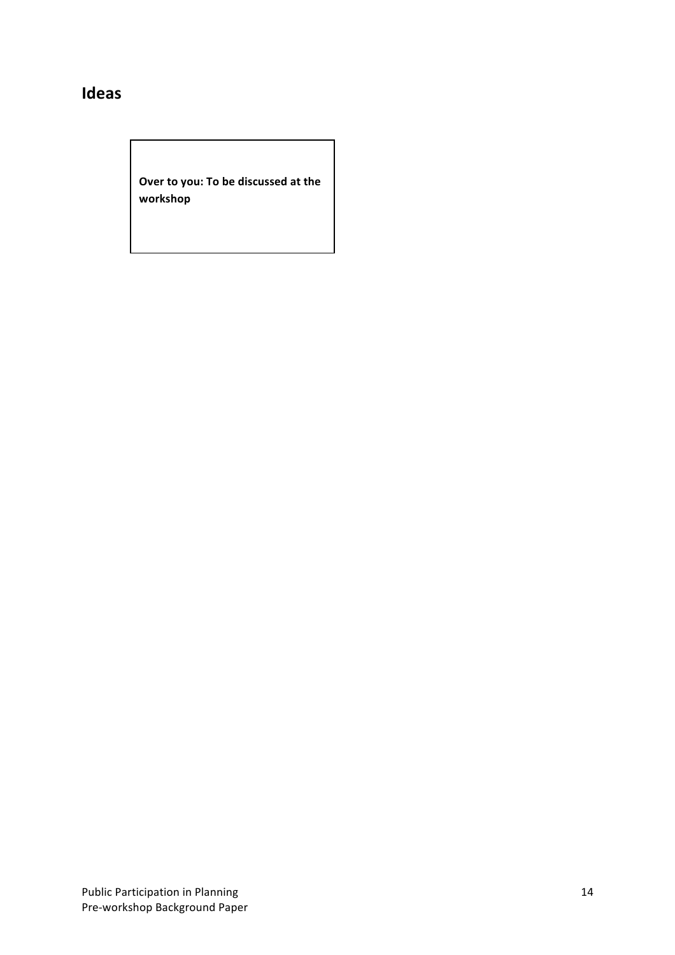## **Ideas**

**Over to you: To be discussed at the workshop**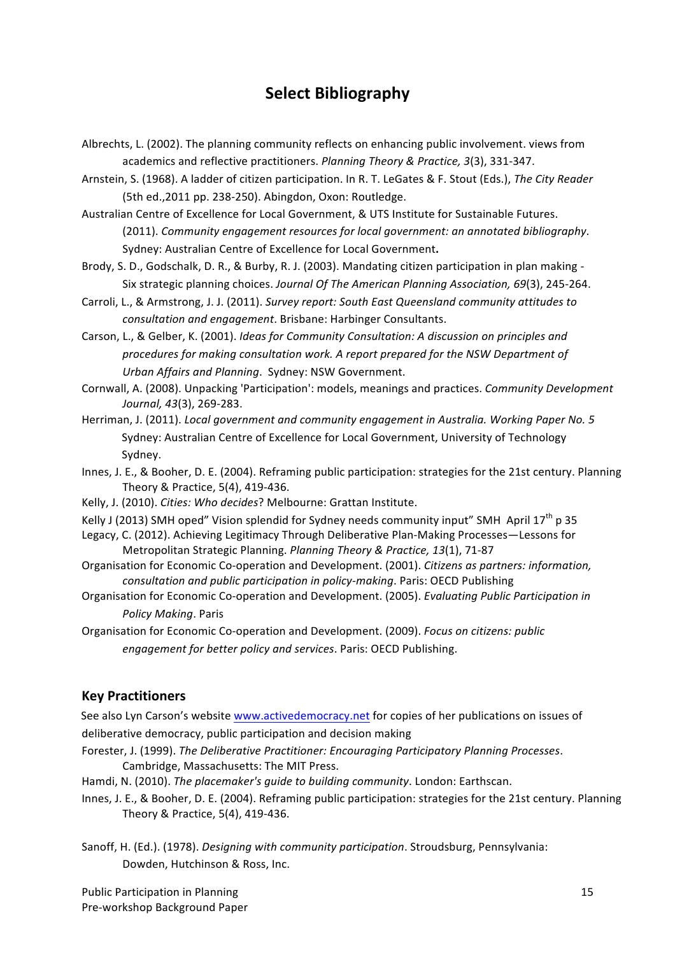## **Select Bibliography**

Albrechts, L. (2002). The planning community reflects on enhancing public involvement. views from academics and reflective practitioners. *Planning Theory & Practice, 3*(3), 331-347.

Arnstein, S. (1968). A ladder of citizen participation. In R. T. LeGates & F. Stout (Eds.), The City Reader (5th ed., 2011 pp. 238-250). Abingdon, Oxon: Routledge.

Australian Centre of Excellence for Local Government, & UTS Institute for Sustainable Futures. (2011). *Community engagement resources for local government: an annotated bibliography*. Sydney: Australian Centre of Excellence for Local Government.

Brody, S. D., Godschalk, D. R., & Burby, R. J. (2003). Mandating citizen participation in plan making -Six strategic planning choices. *Journal Of The American Planning Association, 69*(3), 245-264.

Carroli, L., & Armstrong, J. J. (2011). *Survey report: South East Queensland community attitudes to consultation and engagement*. Brisbane: Harbinger Consultants.

Carson, L., & Gelber, K. (2001). *Ideas for Community Consultation: A discussion on principles and* procedures for making consultation work. A report prepared for the NSW Department of *Urban Affairs and Planning.* Sydney: NSW Government.

- Cornwall, A. (2008). Unpacking 'Participation': models, meanings and practices. *Community Development Journal, 43*(3), 269-283.
- Herriman, J. (2011). *Local government and community engagement in Australia. Working Paper No.* 5 Sydney: Australian Centre of Excellence for Local Government, University of Technology Sydney.
- Innes, J. E., & Booher, D. E. (2004). Reframing public participation: strategies for the 21st century. Planning Theory & Practice,  $5(4)$ ,  $419-436$ .
- Kelly, J. (2010). *Cities: Who decides*? Melbourne: Grattan Institute.
- Kelly J (2013) SMH oped" Vision splendid for Sydney needs community input" SMH April 17<sup>th</sup> p 35
- Legacy, C. (2012). Achieving Legitimacy Through Deliberative Plan-Making Processes—Lessons for Metropolitan Strategic Planning. *Planning Theory & Practice, 13*(1), 71-87
- Organisation for Economic Co-operation and Development. (2001). *Citizens as partners: information*, *consultation and public participation in policy-making*. Paris: OECD Publishing
- Organisation for Economic Co-operation and Development. (2005). *Evaluating Public Participation in Policy Making*. Paris

Organisation for Economic Co-operation and Development. (2009). *Focus on citizens: public* engagement for better policy and services. Paris: OECD Publishing.

### **Key Practitioners**

See also Lyn Carson's website www.activedemocracy.net for copies of her publications on issues of deliberative democracy, public participation and decision making

- Forester, J. (1999). *The Deliberative Practitioner: Encouraging Participatory Planning Processes.* Cambridge, Massachusetts: The MIT Press.
- Hamdi, N. (2010). *The placemaker's quide to building community*. London: Earthscan.
- Innes, J. E., & Booher, D. E. (2004). Reframing public participation: strategies for the 21st century. Planning Theory & Practice, 5(4), 419-436.
- Sanoff, H. (Ed.). (1978). *Designing with community participation*. Stroudsburg, Pennsylvania: Dowden, Hutchinson & Ross, Inc.

Public Participation in Planning Pre-workshop Background Paper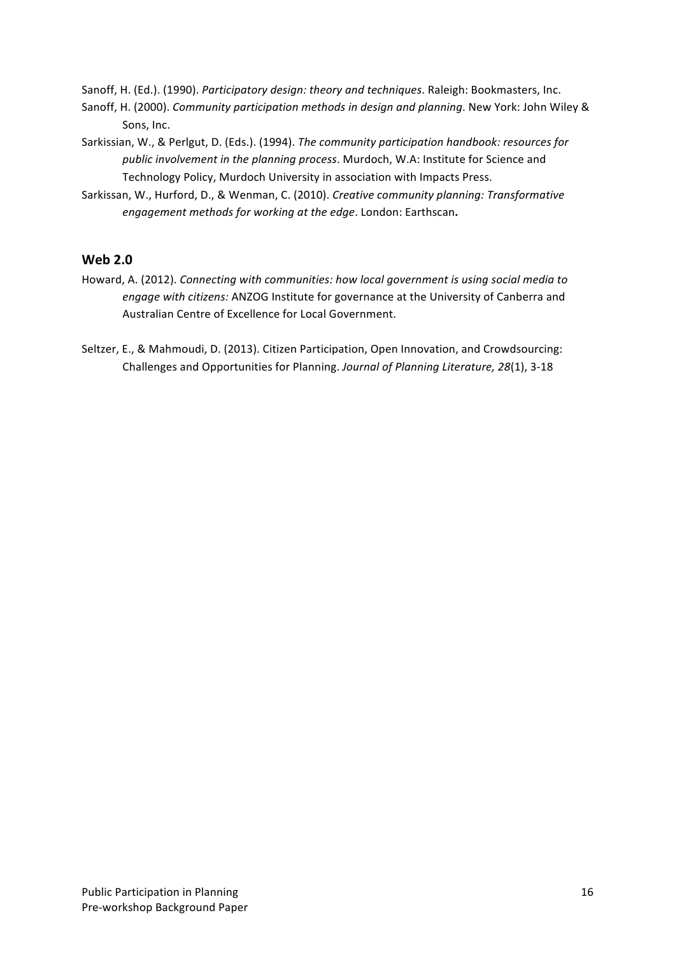Sanoff, H. (Ed.). (1990). *Participatory design: theory and techniques*. Raleigh: Bookmasters, Inc.

- Sanoff, H. (2000). *Community participation methods in design and planning*. New York: John Wiley & Sons, Inc.
- Sarkissian, W., & Perlgut, D. (Eds.). (1994). *The community participation handbook: resources for* public involvement in the planning process. Murdoch, W.A: Institute for Science and Technology Policy, Murdoch University in association with Impacts Press.
- Sarkissan, W., Hurford, D., & Wenman, C. (2010). *Creative community planning: Transformative engagement methods for working at the edge*. London: Earthscan.

### **Web 2.0**

- Howard, A. (2012). Connecting with communities: how local government is using social media to *engage with citizens:* ANZOG Institute for governance at the University of Canberra and Australian Centre of Excellence for Local Government.
- Seltzer, E., & Mahmoudi, D. (2013). Citizen Participation, Open Innovation, and Crowdsourcing: Challenges and Opportunities for Planning. *Journal of Planning Literature, 28*(1), 3-18